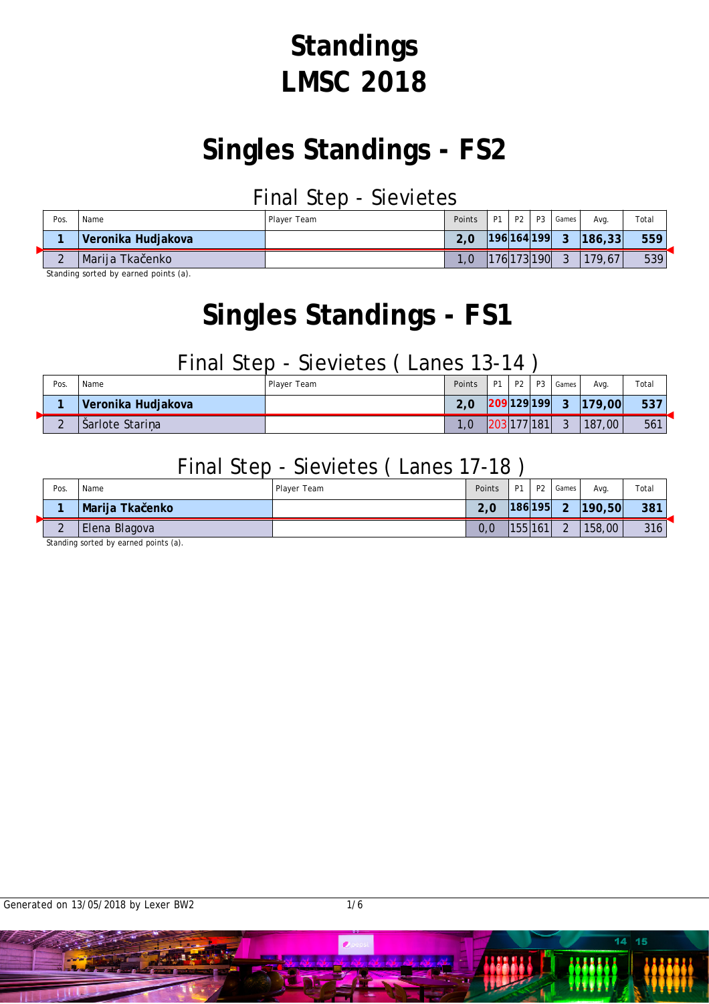# **Standings LMSC 2018**

## **Singles Standings - FS2**

### Final Step - Sievietes

| Pos.   | Name               | Plaver Team | Points | i P1 | P2 1 | <b>P3</b>   | Games             | Ava.   | Total |
|--------|--------------------|-------------|--------|------|------|-------------|-------------------|--------|-------|
|        | Veronika Hudjakova |             |        |      |      |             | $ 196 164 199 $ 3 | 186,33 | 559   |
| $\sim$ | Marija Tka enko    |             |        |      |      | 176 173 190 | $\mathbf{3}$      | 179,67 | 539   |

Standing sorted by earned points (a).

## **Singles Standings - FS1**

### Final Step - Sievietes ( Lanes 13-14 )

| Pos.   | Name               | Player Team | Points         | D <sub>1</sub> | P <sub>2</sub> | P <sub>3</sub> | Games  | Ava.      | Total |
|--------|--------------------|-------------|----------------|----------------|----------------|----------------|--------|-----------|-------|
|        | Veronika Hudjakova |             | $\sim$<br>2, U | 209 129 199    |                |                | -2     | 179,00    | 537   |
| $\sim$ | Sarlote Stari a    |             |                |                | 203 177 181    |                | $\sim$ | 187<br>00 | 561   |

### Final Step - Sievietes ( Lanes 17-18 )

| Pos.        | Name            | Player Team | Points | <b>P1</b> | P <sub>2</sub> | Games  | Ava.      | Total |
|-------------|-----------------|-------------|--------|-----------|----------------|--------|-----------|-------|
|             | Marija Tka enko |             | 2,0    |           | 186 195        | $\sim$ | [190, 50] | 381   |
| $\sim$<br>← | Elena Blagova   |             | 0,0    | 155 161   |                | $\sim$ | 158,00    | 316   |

Standing sorted by earned points (a).

 $14 - 15$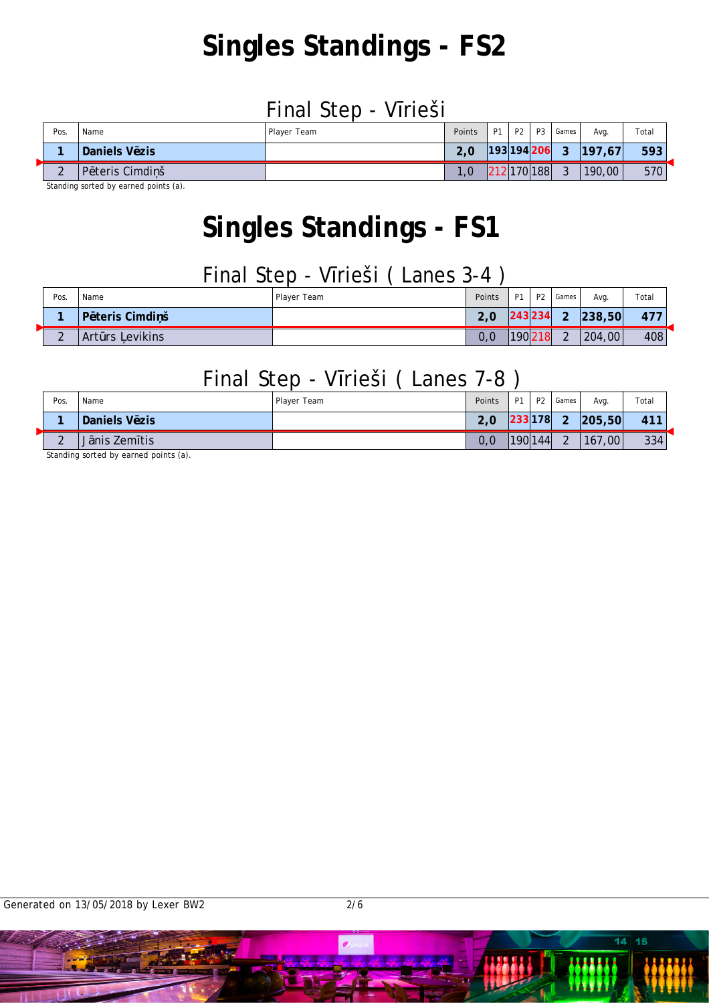# **Singles Standings - FS2**

#### Final Step - V rieši

| Pos.   | Name               | Player Team | Points | P1 i        | P2 P3 | Games        | Avg.   | Total |
|--------|--------------------|-------------|--------|-------------|-------|--------------|--------|-------|
|        | Daniels V zis      |             | 2.0    | 193 194 206 |       | $\mathbf{P}$ | 197.67 | 593   |
| $\sim$ | teris Cimdi š<br>D |             | 1.0    | 212 170 188 |       | ົ            | 190,00 | 570   |

Standing sorted by earned points (a).

## **Singles Standings - FS1**

### Final Step - V rieši ( Lanes 3-4 )

| Pos.   | Name                        | Player Team | Points | . D1 | <b>P2</b> | Games                | Avg.   | Total |
|--------|-----------------------------|-------------|--------|------|-----------|----------------------|--------|-------|
|        | teris Cimdi š<br>D          |             | 2,0    |      | 243 234   | $\sim$               | 238,50 | 477   |
| $\sim$ | evikins<br>Art<br><b>rs</b> |             | 0, 0   |      | 190218    | $\sim$<br>$\epsilon$ | 204,00 | 408   |

### Final Step - V rieši ( Lanes 7-8 )

| Pos.               | Name          | Player Team | Points | D <sub>1</sub> | <b>P2</b> | Games                | Ava.      | Total |
|--------------------|---------------|-------------|--------|----------------|-----------|----------------------|-----------|-------|
|                    | Daniels V zis |             | 2,0    |                | 233 178   | $\sim$               | [205, 50] | 411   |
| $\sim$<br><u>_</u> | nis Zem tis   |             | 0, 0   |                | 190 144   | $\Omega$<br><u>_</u> | 167,00    | 334   |

Standing sorted by earned points (a).

 $14 - 15$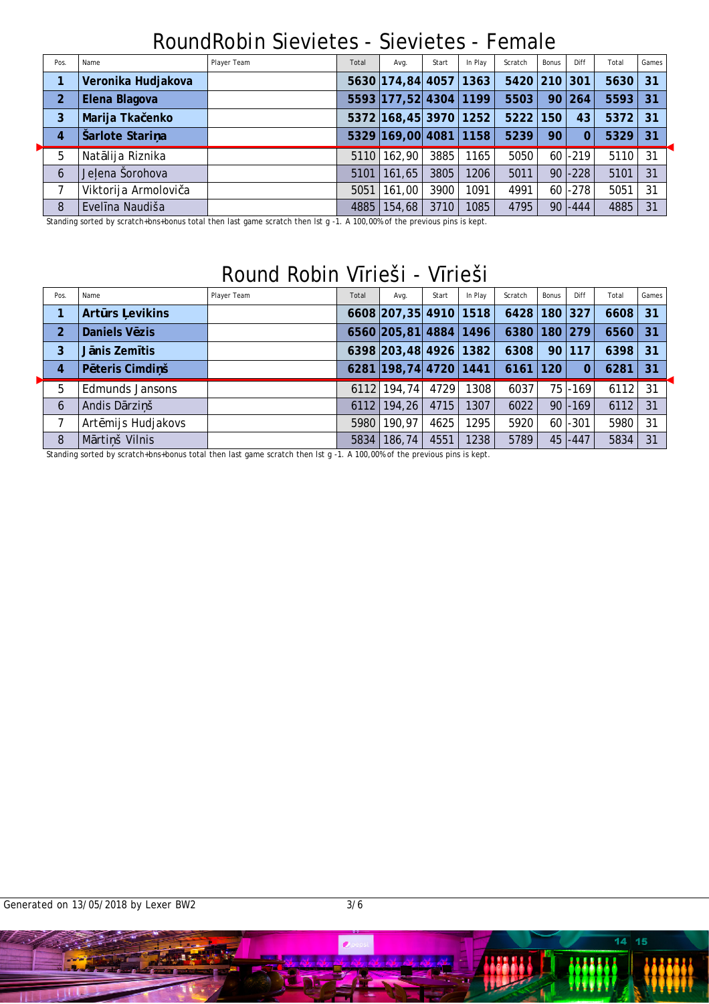### RoundRobin Sievietes - Sievietes - Female

| Pos.           | Name                 | Player Team | Total | Avg.                  | Start | In Play | Scratch      | Bonus | Diff       | Total     | Games |
|----------------|----------------------|-------------|-------|-----------------------|-------|---------|--------------|-------|------------|-----------|-------|
|                | Veronika Hudjakova   |             |       | 5630 174,84 4057 1363 |       |         | 5420 210 301 |       |            | $5630$ 31 |       |
| 2              | Elena Blagova        |             |       | 5593 177,52 4304 1199 |       |         | 5503         | 90    | 264        | $5593$ 31 |       |
| 3              | Marija Tka enko      |             |       | 5372 168,45 3970 1252 |       |         | 5222         | 150   | 43         | 5372 31   |       |
| $\overline{4}$ | Šarlote Stari a      |             |       | 5329 169,00 4081 1158 |       |         | 5239         | 90    | 0          | 5329      | 31    |
| 5              | Nat lija Riznika     |             |       | 5110 162,90           | 3885  | 1165    | 5050         |       | $60$ -219  | 5110      | 31    |
| 6              | Je ena Šorohova      |             | 5101  | 161,65                | 3805  | 1206    | 5011         | 90 l  | $ -228 $   | 5101      | 31    |
|                | Viktorija Armolovi a |             | 5051  | 161,00                | 3900  | 1091    | 4991         |       | $60$ -278  | 5051      | 31    |
| 8              | Evel na Naudiša      |             | 4885  | 154,68                | 3710  | 1085    | 4795         |       | $90 - 444$ | 4885      | 31    |

Standing sorted by scratch+bns+bonus total then last game scratch then lst g -1. A 100,00% of the previous pins is kept.

### Round Robin V rieši - V rieši

| Pos.           | Name                      | Player Team | Total | Avg.                   | Start | In Play | Scratch          | Bonus | Diff       | Total | Games |
|----------------|---------------------------|-------------|-------|------------------------|-------|---------|------------------|-------|------------|-------|-------|
| 1              | Art rs evikins            |             |       | 6608 207, 35 4910 1518 |       |         | 6428 180 327     |       |            | 6608  | 31    |
| 2              | Daniels V zis             |             |       | 6560 205,81 4884 1496  |       |         | 6380   180   279 |       |            | 6560  | 31    |
| 3              | nis Zem tis               |             |       | 6398 203,48 4926 1382  |       |         | 6308             |       | 90 117     | 6398  | 31    |
| $\overline{4}$ | teris Cimdi š<br><b>P</b> |             |       | 6281 198,74 4720 1441  |       |         | $6161$   120     |       | $\Omega$   | 6281  | 31    |
| 5              | <b>Edmunds Jansons</b>    |             |       | 6112 194,74            | 4729  | 1308    | 6037             |       | $75$ -169  | 6112  | -31   |
| 6              | Andis D rzi š             |             |       | $6112$   194, 26       | 4715  | 1307    | 6022             |       | $90$ -169  | 6112  | 31    |
|                | Art mijs Hudjakovs        |             |       | 5980 190,97            | 4625  | 1295    | 5920             |       | $60$ -301  | 5980  | 31    |
| 8              | M rti š Vilnis            |             | 5834  | 186,74                 | 4551  | 1238    | 5789             |       | $45 - 447$ | 5834  | 31    |

Standing sorted by scratch+bns+bonus total then last game scratch then lst g -1. A 100,00% of the previous pins is kept.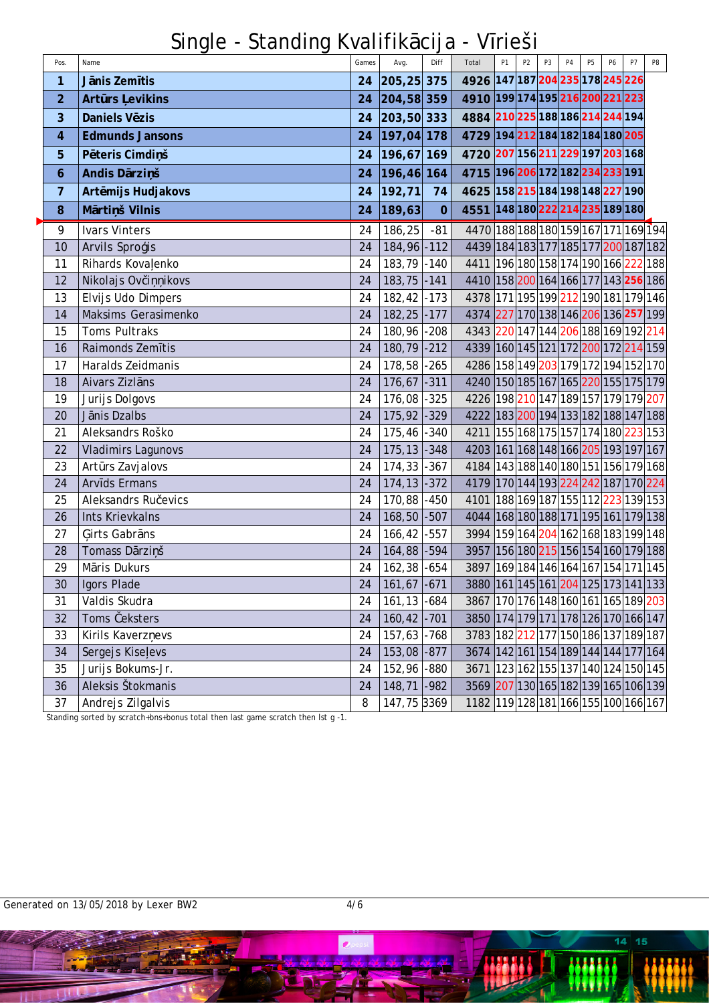Single - Standing Kvalifik cija - V rieši

| Pos.           | Name                      | Games | Avg.            | Diff           | Total                                                | P <sub>1</sub> | P <sub>2</sub> | P <sub>3</sub> | <b>P4</b> | <b>P5</b> | P <sub>6</sub> | P7 | P8 |
|----------------|---------------------------|-------|-----------------|----------------|------------------------------------------------------|----------------|----------------|----------------|-----------|-----------|----------------|----|----|
| 1              | J nis Zem tis             | 24    | 205, 25 375     |                | 4926 147 187 204 235 178 245 226                     |                |                |                |           |           |                |    |    |
| $\overline{2}$ | Art rs evikins            | 24    | 204,58 359      |                | 4910 199 174 195 216 200 221 223                     |                |                |                |           |           |                |    |    |
| 3              | Daniels V zis             |       | 24 203,50 333   |                | 4884 210 225 188 186 214 244 194                     |                |                |                |           |           |                |    |    |
| 4              | <b>Edmunds Jansons</b>    | 24    | 197,04 178      |                | 4729 194 212 184 182 184 180 205                     |                |                |                |           |           |                |    |    |
| 5              | P teris Cimdi š           | 24    | 196,67 169      |                | 4720 207 156 211 229 197 203 168                     |                |                |                |           |           |                |    |    |
| 6              | Andis D rzi š             | 24    | 196,46 164      |                | 4715 196 206 172 182 234 233 191                     |                |                |                |           |           |                |    |    |
| 7              | Art mijs Hudjakovs        | 24    | 192, 71         | 74             | 4625 158 215 184 198 148 227 190                     |                |                |                |           |           |                |    |    |
| 8              | M rti š Vilnis            | 24    | 189,63          | $\overline{0}$ | 4551 148 180 222 214 235 189 180                     |                |                |                |           |           |                |    |    |
| 9              | <b>Ivars Vinters</b>      | 24    | 186, 25         | $-81$          | 4470 188 188 180 159 167 171 169 194                 |                |                |                |           |           |                |    |    |
| 10             | Arvils Spro is            | 24    | 184, 96 - 112   |                | 4439 184 183 177 185 177 200 187 182                 |                |                |                |           |           |                |    |    |
| 11             | Rihards Kova enko         | 24    | 183,79 -140     |                | 4411 196 180 158 174 190 166 222 188                 |                |                |                |           |           |                |    |    |
| 12             | Nikolajs Ov i<br>ikovs    | 24    | $183, 75$ -141  |                | 4410 158 200 164 166 177 143 256 186                 |                |                |                |           |           |                |    |    |
| 13             | Elvijs Udo Dimpers        | 24    | $182,42$ -173   |                | 4378 171 195 199 212 190 181 179 146                 |                |                |                |           |           |                |    |    |
| 14             | Maksims Gerasimenko       | 24    | $182, 25$ -177  |                | 4374 227 170 138 146 206 136 257 199                 |                |                |                |           |           |                |    |    |
| 15             | Toms Pultraks             | 24    | 180,96          | $-208$         | 4343 220 147 144 206 188 169 192 214                 |                |                |                |           |           |                |    |    |
| 16             | Raimonds Zem tis          | 24    | 180,79 -212     |                | 4339 160 145 121 172 200 172 214 159                 |                |                |                |           |           |                |    |    |
| 17             | Haralds Zeidmanis         | 24    | 178,58          | $-265$         | 4286 158 149 203 179 172 194 152 170                 |                |                |                |           |           |                |    |    |
| 18             | Aivars Zizl ns            | 24    | 176,67          | $-311$         | 4240 150 185 167 165 220 155 175 179                 |                |                |                |           |           |                |    |    |
| 19             | Jurijs Dolgovs            | 24    | 176,08          | $-325$         | 4226 198 210 147 189 157 179 179 207                 |                |                |                |           |           |                |    |    |
| 20             | J nis Dzalbs              | 24    | $175,92$ -329   |                | 4222 183 200 194 133 182 188 147 188                 |                |                |                |           |           |                |    |    |
| 21             | Aleksandrs Roško          | 24    | $175,46$ -340   |                | 4211 155 168 175 157 174 180 223 153                 |                |                |                |           |           |                |    |    |
| 22             | <b>Vladimirs Lagunovs</b> | 24    | $175, 13$ - 348 |                | 4203 161 168 148 166 205 193 197 167                 |                |                |                |           |           |                |    |    |
| 23             | Art rs Zavjalovs          | 24    | $174,33$ -367   |                | 4184 143 188 140 180 151 156 179 168                 |                |                |                |           |           |                |    |    |
| 24             | Arv ds Ermans             | 24    | $174, 13$ - 372 |                | 4179 170 144 193 224 242 187 170 224                 |                |                |                |           |           |                |    |    |
| 25             | Aleksandrs Ru evics       | 24    | 170,88          | $-450$         | 4101 188 169 187 155 112 223 139 153                 |                |                |                |           |           |                |    |    |
| 26             | <b>Ints Krievkalns</b>    | 24    | 168,50 -507     |                | 4044 168 180 188 171 195 161 179 138                 |                |                |                |           |           |                |    |    |
| 27             | irts Gabr ns              | 24    | 166,42          | $-557$         | 3994   159   164   204   162   168   183   199   148 |                |                |                |           |           |                |    |    |
| 28             | Tomass D rzi š            | 24    | $164,88$ -594   |                | 3957 156 180 215 156 154 160 179 188                 |                |                |                |           |           |                |    |    |
| 29             | M ris Dukurs              | 24    | $162,38$ -654   |                | 3897   169   184   146   164   167   154   171   145 |                |                |                |           |           |                |    |    |
| 30             | Igors Plade               | 24    | $161,67$ -671   |                | 3880 161 145 161 204 125 173 141 133                 |                |                |                |           |           |                |    |    |
| 31             | Valdis Skudra             | 24    | $161, 13$ -684  |                | 3867 170 176 148 160 161 165 189 203                 |                |                |                |           |           |                |    |    |
| 32             | Toms eksters              | 24    | $160, 42$ -701  |                | 3850 174 179 171 178 126 170 166 147                 |                |                |                |           |           |                |    |    |
| 33             | Kirils Kaverz evs         | 24    | $157,63$ -768   |                | 3783 182 212 177 150 186 137 189 187                 |                |                |                |           |           |                |    |    |
| 34             | Sergejs Kise evs          | 24    | 153,08 -877     |                | 3674 142 161 154 189 144 144 177 164                 |                |                |                |           |           |                |    |    |
| 35             | Jurijs Bokums-Jr.         | 24    | 152,96 -880     |                | 3671 123 162 155 137 140 124 150 145                 |                |                |                |           |           |                |    |    |
| 36             | Aleksis Štokmanis         | 24    | 148,71 -982     |                | 3569 207 130 165 182 139 165 106 139                 |                |                |                |           |           |                |    |    |
| 37             | Andrejs Zilgalvis         | 8     | 147,75 3369     |                | 1182 119 128 181 166 155 100 166 167                 |                |                |                |           |           |                |    |    |

Standing sorted by scratch+bns+bonus total then last game scratch then lst g -1.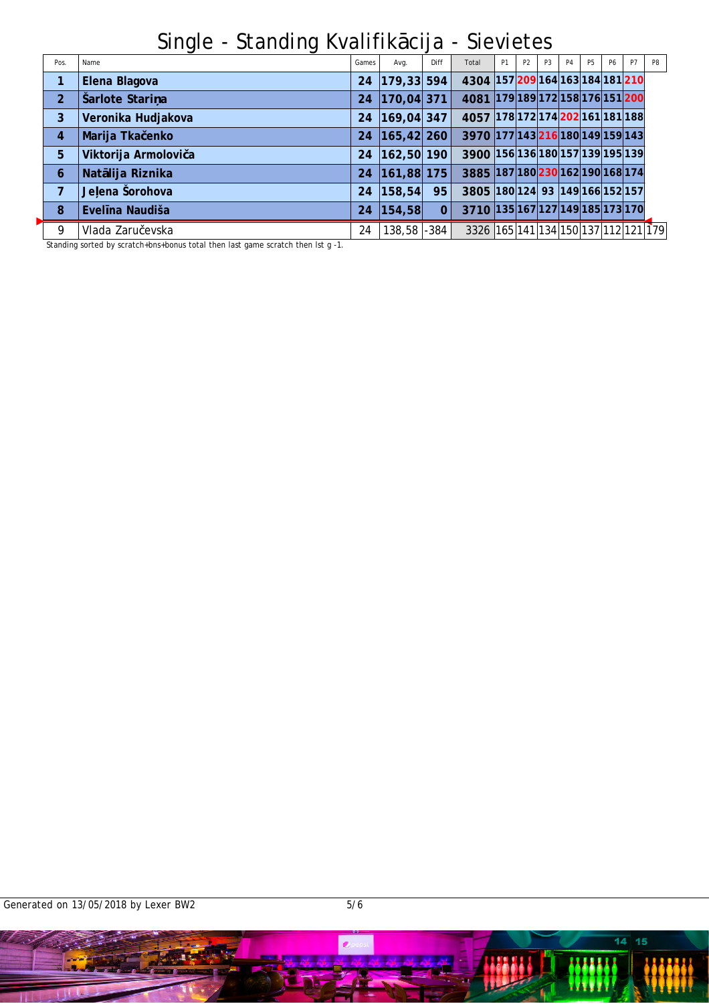Single - Standing Kvalifik cija - Sievietes

| Pos.           | Name                 | Games | Avg.         | Diff     | Total                                                | P1 | P <sub>2</sub> | P <sub>3</sub> | <b>P4</b> | P <sub>5</sub> | <b>P6</b> | P7 | P8 |
|----------------|----------------------|-------|--------------|----------|------------------------------------------------------|----|----------------|----------------|-----------|----------------|-----------|----|----|
| 1              | Elena Blagova        | 24    | 179,33 594   |          | 4304 157 209 164 163 184 181 210                     |    |                |                |           |                |           |    |    |
| $\overline{2}$ | Šarlote Stari a      | 24    | 170,04 371   |          | 4081 179 189 172 158 176 151 200                     |    |                |                |           |                |           |    |    |
| 3              | Veronika Hudjakova   | 24    | 169,04 347   |          | 4057 178 172 174 202 161 181 188                     |    |                |                |           |                |           |    |    |
| 4              | Marija Tka enko      | 24    | 165, 42 260  |          | 3970 177 143 216 180 149 159 143                     |    |                |                |           |                |           |    |    |
| 5              | Viktorija Armolovi a | 24    | 162,50 190   |          | 3900 156 136 180 157 139 195 139                     |    |                |                |           |                |           |    |    |
| 6              | Nat lija Riznika     | 24    | 161,88 175   |          | 3885 187 180 230 162 190 168 174                     |    |                |                |           |                |           |    |    |
| 7              | Je ena Šorohova      | 24    | 158, 54      | 95       | 3805 180 124 93 149 166 152 157                      |    |                |                |           |                |           |    |    |
| 8              | Evel na Naudiša      | 24    | 154, 58      | $\Omega$ | 3710 135 167 127 149 185 173 170                     |    |                |                |           |                |           |    |    |
| 9              | Vlada Zaru evska     | 24    | 138,58 - 384 |          | 3326   165   141   134   150   137   112   121   179 |    |                |                |           |                |           |    |    |

Standing sorted by scratch+bns+bonus total then last game scratch then lst g -1.